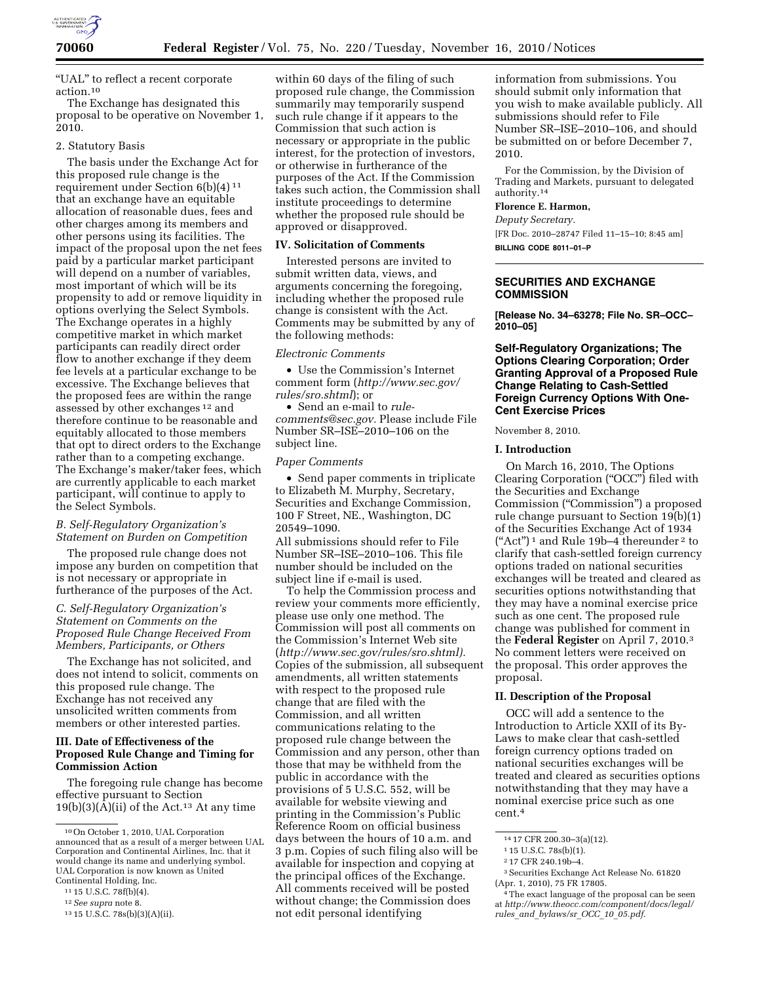

''UAL'' to reflect a recent corporate action.10

The Exchange has designated this proposal to be operative on November 1, 2010.

#### 2. Statutory Basis

The basis under the Exchange Act for this proposed rule change is the requirement under Section 6(b)(4) 11 that an exchange have an equitable allocation of reasonable dues, fees and other charges among its members and other persons using its facilities. The impact of the proposal upon the net fees paid by a particular market participant will depend on a number of variables, most important of which will be its propensity to add or remove liquidity in options overlying the Select Symbols. The Exchange operates in a highly competitive market in which market participants can readily direct order flow to another exchange if they deem fee levels at a particular exchange to be excessive. The Exchange believes that the proposed fees are within the range assessed by other exchanges 12 and therefore continue to be reasonable and equitably allocated to those members that opt to direct orders to the Exchange rather than to a competing exchange. The Exchange's maker/taker fees, which are currently applicable to each market participant, will continue to apply to the Select Symbols.

# *B. Self-Regulatory Organization's Statement on Burden on Competition*

The proposed rule change does not impose any burden on competition that is not necessary or appropriate in furtherance of the purposes of the Act.

# *C. Self-Regulatory Organization's Statement on Comments on the Proposed Rule Change Received From Members, Participants, or Others*

The Exchange has not solicited, and does not intend to solicit, comments on this proposed rule change. The Exchange has not received any unsolicited written comments from members or other interested parties.

### **III. Date of Effectiveness of the Proposed Rule Change and Timing for Commission Action**

The foregoing rule change has become effective pursuant to Section  $19(b)(3)(A)(ii)$  of the Act.<sup>13</sup> At any time

within 60 days of the filing of such proposed rule change, the Commission summarily may temporarily suspend such rule change if it appears to the Commission that such action is necessary or appropriate in the public interest, for the protection of investors, or otherwise in furtherance of the purposes of the Act. If the Commission takes such action, the Commission shall institute proceedings to determine whether the proposed rule should be approved or disapproved.

#### **IV. Solicitation of Comments**

Interested persons are invited to submit written data, views, and arguments concerning the foregoing, including whether the proposed rule change is consistent with the Act. Comments may be submitted by any of the following methods:

#### *Electronic Comments*

• Use the Commission's Internet comment form (*[http://www.sec.gov/](http://www.sec.gov/rules/sro.shtml)  [rules/sro.shtml](http://www.sec.gov/rules/sro.shtml)*); or

• Send an e-mail to *[rule](mailto:rule-comments@sec.gov)[comments@sec.gov.](mailto:rule-comments@sec.gov)* Please include File Number SR–ISE–2010–106 on the subject line.

### *Paper Comments*

• Send paper comments in triplicate to Elizabeth M. Murphy, Secretary, Securities and Exchange Commission, 100 F Street, NE., Washington, DC 20549–1090.

All submissions should refer to File Number SR–ISE–2010–106. This file number should be included on the subject line if e-mail is used.

To help the Commission process and review your comments more efficiently, please use only one method. The Commission will post all comments on the Commission's Internet Web site (*[http://www.sec.gov/rules/sro.shtml\).](http://www.sec.gov/rules/sro.shtml)*  Copies of the submission, all subsequent amendments, all written statements with respect to the proposed rule change that are filed with the Commission, and all written communications relating to the proposed rule change between the Commission and any person, other than those that may be withheld from the public in accordance with the provisions of 5 U.S.C. 552, will be available for website viewing and printing in the Commission's Public Reference Room on official business days between the hours of 10 a.m. and 3 p.m. Copies of such filing also will be available for inspection and copying at the principal offices of the Exchange. All comments received will be posted without change; the Commission does not edit personal identifying

information from submissions. You should submit only information that you wish to make available publicly. All submissions should refer to File Number SR–ISE–2010–106, and should be submitted on or before December 7, 2010.

For the Commission, by the Division of Trading and Markets, pursuant to delegated authority.14

#### **Florence E. Harmon,**

*Deputy Secretary.*  [FR Doc. 2010–28747 Filed 11–15–10; 8:45 am] **BILLING CODE 8011–01–P** 

### **SECURITIES AND EXCHANGE COMMISSION**

**[Release No. 34–63278; File No. SR–OCC– 2010–05]** 

# **Self-Regulatory Organizations; The Options Clearing Corporation; Order Granting Approval of a Proposed Rule Change Relating to Cash-Settled Foreign Currency Options With One-Cent Exercise Prices**

November 8, 2010.

### **I. Introduction**

On March 16, 2010, The Options Clearing Corporation ("OCC") filed with the Securities and Exchange Commission (''Commission'') a proposed rule change pursuant to Section 19(b)(1) of the Securities Exchange Act of 1934  $(*Act")^1$  and Rule 19b-4 thereunder <sup>2</sup> to clarify that cash-settled foreign currency options traded on national securities exchanges will be treated and cleared as securities options notwithstanding that they may have a nominal exercise price such as one cent. The proposed rule change was published for comment in the **Federal Register** on April 7, 2010.3 No comment letters were received on the proposal. This order approves the proposal.

### **II. Description of the Proposal**

OCC will add a sentence to the Introduction to Article XXII of its By-Laws to make clear that cash-settled foreign currency options traded on national securities exchanges will be treated and cleared as securities options notwithstanding that they may have a nominal exercise price such as one cent.4

<sup>10</sup>On October 1, 2010, UAL Corporation announced that as a result of a merger between UAL Corporation and Continental Airlines, Inc. that it would change its name and underlying symbol. UAL Corporation is now known as United Continental Holding, Inc.

<sup>11</sup> 15 U.S.C. 78f(b)(4).

<sup>12</sup>*See supra* note 8.

<sup>13</sup> 15 U.S.C. 78s(b)(3)(A)(ii).

<sup>14</sup> 17 CFR 200.30–3(a)(12).

<sup>1</sup> 15 U.S.C. 78s(b)(1).

<sup>2</sup> 17 CFR 240.19b–4.

<sup>3</sup>Securities Exchange Act Release No. 61820 (Apr. 1, 2010), 75 FR 17805.

<sup>4</sup>The exact language of the proposal can be seen at *[http://www.theocc.com/component/docs/legal/](http://www.theocc.com/component/docs/legal/rules_and_bylaws/sr_OCC_10_05.pdf)  rules*\_*and*\_*[bylaws/sr](http://www.theocc.com/component/docs/legal/rules_and_bylaws/sr_OCC_10_05.pdf)*\_*OCC*\_*10*\_*05.pdf*.